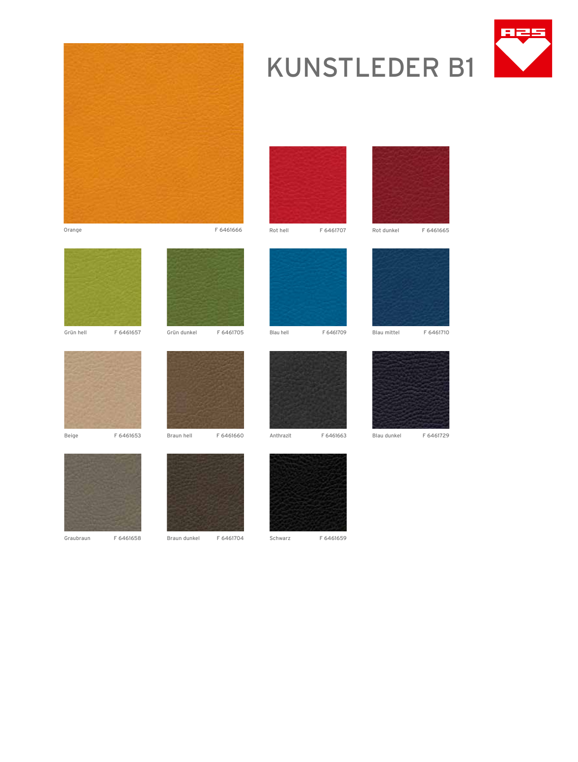

# KUNSTLEDER B1

















Graubraun F 6461658 Braun dunkel F 6461704 Schwarz F 6461659

Grün dunkel F 6461705







Blau mittel F 6461710